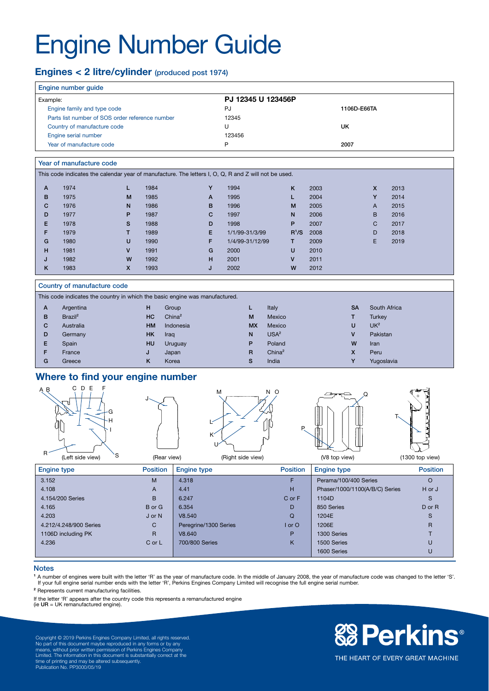# Engine Number Guide

# Engines < 2 litre/cylinder (produced post 1974)

|              | Engine number guide                                                                                  |                           |                |                             |   |                    |                    |              |                        |              |                           |              |  |
|--------------|------------------------------------------------------------------------------------------------------|---------------------------|----------------|-----------------------------|---|--------------------|--------------------|--------------|------------------------|--------------|---------------------------|--------------|--|
| Example:     |                                                                                                      |                           |                |                             |   | PJ 12345 U 123456P |                    |              |                        |              |                           |              |  |
|              | Engine family and type code                                                                          |                           |                |                             |   | PJ                 |                    |              | 1106D-E66TA            |              |                           |              |  |
|              | Parts list number of SOS order reference number                                                      |                           |                |                             |   | 12345              |                    |              |                        |              |                           |              |  |
|              | Country of manufacture code                                                                          |                           |                |                             |   | U                  |                    |              |                        | <b>UK</b>    |                           |              |  |
|              | Engine serial number                                                                                 |                           |                |                             |   | 123456             |                    |              |                        |              |                           |              |  |
|              | Year of manufacture code                                                                             |                           |                |                             |   | P                  |                    |              |                        | 2007         |                           |              |  |
|              |                                                                                                      |                           |                |                             |   |                    |                    |              |                        |              |                           |              |  |
|              | Year of manufacture code                                                                             |                           |                |                             |   |                    |                    |              |                        |              |                           |              |  |
|              | This code indicates the calendar year of manufacture. The letters I, O, Q, R and Z will not be used. |                           |                |                             |   |                    |                    |              |                        |              |                           |              |  |
| A            | 1974                                                                                                 | L                         | 1984           |                             | Y | 1994               |                    | K            | 2003                   |              | $\mathsf{x}$              | 2013         |  |
| B            | 1975                                                                                                 | M                         | 1985           |                             | A | 1995               |                    | L.           | 2004                   |              | Y                         | 2014         |  |
| C            | 1976                                                                                                 | N                         | 1986           |                             | B | 1996               |                    | M            | 2005                   |              | A                         | 2015         |  |
| D            | 1977                                                                                                 | P                         | 1987           |                             | C | 1997               |                    | N            | 2006                   |              | B                         | 2016         |  |
| E            | 1978                                                                                                 | s                         | 1988           |                             | D | 1998               |                    | P            | 2007                   |              | C                         | 2017         |  |
| F            | 1979                                                                                                 | т                         | 1989           |                             | E | 1/1/99-31/3/99     |                    |              | R <sup>1</sup> /S 2008 |              | D                         | 2018         |  |
| G            | 1980                                                                                                 | U                         | 1990           |                             | F | 1/4/99-31/12/99    |                    | T.           | 2009                   |              | E                         | 2019         |  |
| н            | 1981                                                                                                 | v                         | 1991           |                             | G | 2000               |                    | U            | 2010                   |              |                           |              |  |
| J            | 1982                                                                                                 | W                         | 1992           |                             | н | 2001               |                    | $\mathsf{V}$ | 2011                   |              |                           |              |  |
| Κ            | 1983                                                                                                 | $\boldsymbol{\mathsf{x}}$ | 1993           |                             | J | 2002               |                    | W            | 2012                   |              |                           |              |  |
|              | Country of manufacture code                                                                          |                           |                |                             |   |                    |                    |              |                        |              |                           |              |  |
|              | This code indicates the country in which the basic engine was manufactured.                          |                           |                |                             |   |                    |                    |              |                        |              |                           |              |  |
|              |                                                                                                      |                           |                |                             |   |                    |                    |              |                        |              |                           |              |  |
| $\mathsf{A}$ | Argentina<br>Brazil <sup>2</sup>                                                                     |                           | H<br><b>HC</b> | Group<br>China <sup>2</sup> |   | L.                 | Italy<br>Mexico    |              |                        | <b>SA</b>    |                           | South Africa |  |
| в<br>C       | Australia                                                                                            |                           | <b>HM</b>      | Indonesia                   |   | M<br><b>MX</b>     | Mexico             |              |                        | т<br>U       | Turkey<br>UK <sup>2</sup> |              |  |
|              |                                                                                                      |                           | <b>HK</b>      |                             |   |                    | USA <sup>2</sup>   |              |                        | $\mathsf{V}$ | Pakistan                  |              |  |
| D<br>E       | Germany<br>Spain                                                                                     |                           | <b>HU</b>      | Iraq<br>Uruguay             |   | N<br>P             | Poland             |              |                        | W            | Iran                      |              |  |
| F            | France                                                                                               |                           | J              | Japan                       |   | R                  | China <sup>2</sup> |              |                        | $\mathsf{x}$ | Peru                      |              |  |
| G            | Greece                                                                                               |                           | ĸ              | Korea                       |   | s                  | India              |              |                        | Y            | Yugoslavia                |              |  |
|              |                                                                                                      |                           |                |                             |   |                    |                    |              |                        |              |                           |              |  |

# Where to find your engine number



| <b>Engine type</b>     | <b>Position</b> | <b>Engine type</b>    | <b>Position</b> | <b>Engine type</b>             | <b>Position</b> |
|------------------------|-----------------|-----------------------|-----------------|--------------------------------|-----------------|
| 3.152                  | M               | 4.318                 |                 | Perama/100/400 Series          | O               |
| 4.108                  | A               | 4.41                  | н               | Phaser/1000/1100(A/B/C) Series | H or J          |
| 4.154/200 Series       | B               | 6.247                 | C or F          | 1104D                          | S               |
| 4.165                  | B or G          | 6.354                 | D               | 850 Series                     | $D$ or $R$      |
| 4.203                  | J or N          | V8.540                | Q               | 1204E                          | S               |
| 4.212/4.248/900 Series | С               | Peregrine/1300 Series | $I$ or $O$      | 1206E                          | $\mathsf{R}$    |
| 1106D including PK     | $\mathsf{R}$    | V8.640                | P               | 1300 Series                    |                 |
| 4.236                  | C or L          | 700/800 Series        | K               | 1500 Series                    | U               |
|                        |                 |                       |                 | 1600 Series                    | U               |

#### **Notes**

1 A number of engines were built with the letter 'R' as the year of manufacture code. In the middle of January 2008, the year of manufacture code was changed to the letter 'S'.<br>If your full engine serial number ends with t

² Represents current manufacturing facilities.

If the letter 'R' appears after the country code this represents a remanufactured engine

(ie UR = UK remanufactured engine).

Copyright © 2019 Perkins Engines Company Limited, all rights reserved.<br>No part of this document maybe reproduced in any forms or by any<br>means, without prior written permission of Perkins Engines Company<br>Limited. The inform

# **&B Perkins®**

THE HEART OF EVERY GREAT MACHINE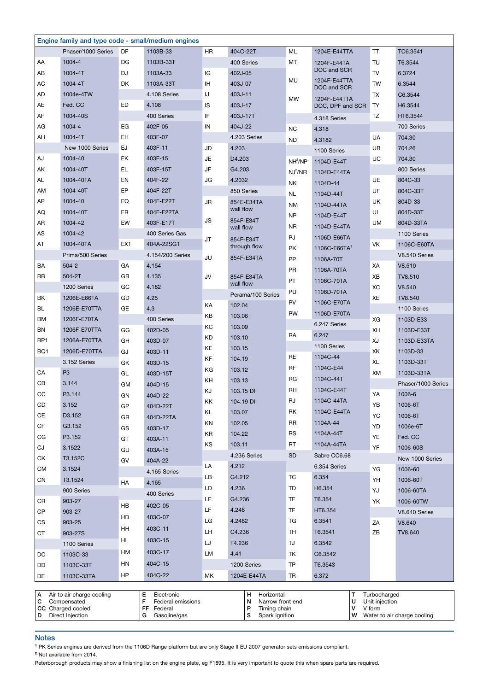|     | Engine family and type code - small/medium engines |     |                     |           |                           |                     |                                  |                |                    |
|-----|----------------------------------------------------|-----|---------------------|-----------|---------------------------|---------------------|----------------------------------|----------------|--------------------|
|     | Phaser/1000 Series                                 | DF  | 1103B-33            | HR        | 404C-22T                  | ML                  | 1204E-E44TTA                     | TT             | TC6.3541           |
| AA  | 1004-4                                             | DG  | 1103B-33T           |           | 400 Series                | МT                  | 1204F-E44TA                      | TU             | T6.3544            |
| AВ  | 1004-4T                                            | DJ  | 1103A-33            | IG        | 402J-05                   |                     | DOC and SCR                      | <b>TV</b>      | 6.3724             |
| АC  | 1004-4T                                            | DK  | 1103A-33T           | ΙH        | 403J-07                   | MU                  | 1204F-E44TTA<br>DOC and SCR      | <b>TW</b>      | 6.3544             |
| AD  | 1004e-4TW                                          |     | 4.108 Series        | IJ        | 403J-11                   |                     |                                  | TX             | C6.3544            |
| AE  | Fed. CC                                            | ED  | 4.108               | IS        | 403J-17                   | MW                  | 1204F-E44TTA<br>DOC, DPF and SCR | $\mathsf{T}$   | H6.3544            |
| AF  | 1004-40S                                           |     | 400 Series          | IF        | 403J-17T                  |                     | 4.318 Series                     | TZ             | HT6.3544           |
| AG  | 1004-4                                             | EG  | 402F-05             | IN        | 404J-22                   | <b>NC</b>           | 4.318                            |                | 700 Series         |
| AH  | 1004-4T                                            | EH  | 403F-07             |           | 4.203 Series              | <b>ND</b>           | 4.3182                           | UA             | 704.30             |
|     | New 1000 Series                                    | EJ  | 403F-11             | JD        | 4.203                     |                     | 1100 Series                      | UB             | 704.26             |
| AJ  | 1004-40                                            | EK  | 403F-15             | <b>JE</b> | D4.203                    | NH <sup>2</sup> /NP | 1104D-E44T                       | UC             | 704.30             |
| AΚ  | 1004-40T                                           | EL. | 403F-15T            | JF        | G4.203                    | $NJ^2/NR$           | 1104D-E44TA                      |                | 800 Series         |
| AL  | 1004-40TA                                          | EN  | 404F-22             | JG        | 4.2032                    | NΚ                  | 1104D-44                         | UE             | 804C-33            |
| AM  | 1004-40T                                           | EP  | 404F-22T            |           | 850 Series                |                     |                                  | UF             | 804C-33T           |
| AP  | 1004-40                                            | EQ  | 404F-E22T           | JR        | 854E-E34TA                | NL                  | 1104D-44T                        | UK             | 804D-33            |
| AQ  | 1004-40T                                           | ER  | 404F-E22TA          |           | wall flow                 | ΝM                  | 1104D-44TA                       | UL             | 804D-33T           |
| AR  | 1004-42                                            | EW  | 403F-E17T           | JS        | 854F-E34T                 | NP                  | 1104D-E44T                       | <b>UM</b>      | 804D-33TA          |
| AS  | 1004-42                                            |     | 400 Series Gas      |           | wall flow                 | <b>NR</b>           | 1104D-E44TA                      |                | 1100 Series        |
| AT  | 1004-40TA                                          | EX1 | 404A-22SG1          | JT        | 854F-E34T<br>through flow | PJ                  | 1106D-E66TA                      | VK             | 1106C-E60TA        |
|     | Prima/500 Series                                   |     | 4.154/200 Series    |           |                           | PK                  | 1106C-E66TA <sup>1</sup>         |                | V8.540 Series      |
| BA  | $504 - 2$                                          | GА  | 4.154               | JU        | 854F-E34TA                | PP                  | 1106A-70T                        | XA             | V8.510             |
| BВ  | 504-2T                                             | GB  | 4.135               | JV        | 854F-E34TA                | PR                  | 1106A-70TA                       | XB             | TV8.510            |
|     | 1200 Series                                        | GC  | 4.182               |           | wall flow                 | PT                  | 1106C-70TA                       | XC             | V8.540             |
| ΒK  | 1206E-E66TA                                        | GD  | 4.25                |           | Perama/100 Series         | PU                  | 1106D-70TA                       | XE             | TV8.540            |
| BL  | 1206E-E70TTA                                       | GE  | 4.3                 | KA        | 102.04                    | PV                  | 1106C-E70TA                      |                | 1100 Series        |
| ВM  | 1206F-E70TA                                        |     | 400 Series          | KB        | 103.06                    | PW                  | 1106D-E70TA                      | XG             | 1103D-E33          |
| BN  | 1206F-E70TTA                                       | GG  | 402D-05             | KC        | 103.09                    |                     | 6.247 Series                     | XH             | 1103D-E33T         |
| BP1 | 1206A-E70TTA                                       | GH  | 403D-07             | KD        | 103.10                    | RA                  | 6.247                            | XJ             | 1103D-E33TA        |
| BQ1 | 1206D-E70TTA                                       | GJ  | 403D-11             | KE        | 103.15                    |                     | 1100 Series                      | XK             | 1103D-33           |
|     | 3.152 Series                                       | GK  | 403D-15             | KF        | 104.19                    | RE                  | 1104C-44                         | XL             | 1103D-33T          |
| СA  | P <sub>3</sub>                                     | GL  | 403D-15T            | KG        | 103.12                    | RF                  | 1104C-E44                        | XM             | 1103D-33TA         |
| CВ  | 3.144                                              |     | 404D-15             | KH        | 103.13                    | RG                  | 1104C-44T                        |                | Phaser/1000 Series |
| CC  | P3.144                                             | GМ  | 404D-22             | ΚJ        | 103.15 DI                 | RH                  | 1104C-E44T                       | YA             | 1006-6             |
| CD  | 3.152                                              | GN  |                     | ΚK        | 104.19 DI                 | RJ                  | 1104C-44TA                       | YB             | 1006-6T            |
| CЕ  | D3.152                                             | GP  | 404D-22T            | KL        | 103.07                    | RK                  | 1104C-E44TA                      | YC             | 1006-6T            |
| CF  | G3.152                                             | GR  | 404D-22TA           | KN        | 102.05                    | <b>RR</b>           | 1104A-44                         | YD             | 1006e-6T           |
| СG  | P3.152                                             | GS  | 403D-17             | KR        | 104.22                    | <b>RS</b>           | 1104A-44T                        | YE             | Fed. CC            |
| CJ  | 3.1522                                             | GT  | 403A-11             | KS        | 103.11                    | RT                  | 1104A-44TA                       | YF             | 1006-60S           |
| СK  | T3.152C                                            | GU  | 403A-15             |           | 4.236 Series              | <b>SD</b>           | Sabre CC6.68                     |                | New 1000 Series    |
| CМ  | 3.1524                                             | GV  | 404A-22             | LA        | 4.212                     |                     | 6.354 Series                     | YG             | 1006-60            |
| CN  | T3.1524                                            |     | 4.165 Series        | LВ        | G4.212                    | TC                  | 6.354                            | YH             | 1006-60T           |
|     | 900 Series                                         | HA  | 4.165               | LD        | 4.236                     | TD                  | H6.354                           | YJ             |                    |
|     |                                                    |     | 400 Series          | LE.       | G4.236                    | TE                  | T6.354                           |                | 1006-60TA          |
| CR  | 903-27                                             | HB  | 402C-05             | LF        | 4.248                     | TF                  | HT6.354                          | YK             | 1006-60TW          |
| СP  | 903-27                                             | HD  | 403C-07             | LG        | 4.2482                    | TG                  | 6.3541                           |                | V8.640 Series      |
| СS  | 903-25                                             | HH  | 403C-11             | LH        | C4.236                    | TH                  | T6.3541                          | ΖA<br>ZB       | V8.640<br>TV8.640  |
| СT  | 903-27S                                            | HL. | 403C-15             | LJ        | T4.236                    | TJ                  | 6.3542                           |                |                    |
|     | 1100 Series                                        | HМ  | 403C-17             |           |                           |                     |                                  |                |                    |
| DC  | 1103C-33                                           | HN  | 404C-15             | LM        | 4.41                      | ΤK                  | C6.3542                          |                |                    |
| DD  | 1103C-33T                                          |     |                     |           | 1200 Series               | TP                  | T6.3543                          |                |                    |
| DE  | 1103C-33TA                                         | HP  | 404C-22             | МK        | 1204E-E44TA               | TR                  | 6.372                            |                |                    |
|     | $\overline{A}$ Air to air charge cooling           |     | <b>F</b> Electronic |           | H Horizontal              |                     |                                  | T Turbocharged |                    |

| Air to air charge cooling | Electronic        | Horizontal            | Turbocharged                     |
|---------------------------|-------------------|-----------------------|----------------------------------|
| Compensated               | Federal emissions | N<br>Narrow front end | Unit injection                   |
| CC Charged cooled         | FF<br>Federal     | Timing chain          | V form                           |
| Direct Injection          | Gasoline/gas      | Spark ignition        | W<br>Water to air charge cooling |

## Notes

<sup>1</sup> PK Series engines are derived from the 1106D Range platform but are only Stage II EU 2007 generator sets emissions compliant.

² Not available from 2014.

Peterborough products may show a finishing list on the engine plate, eg F1895. It is very important to quote this when spare parts are required.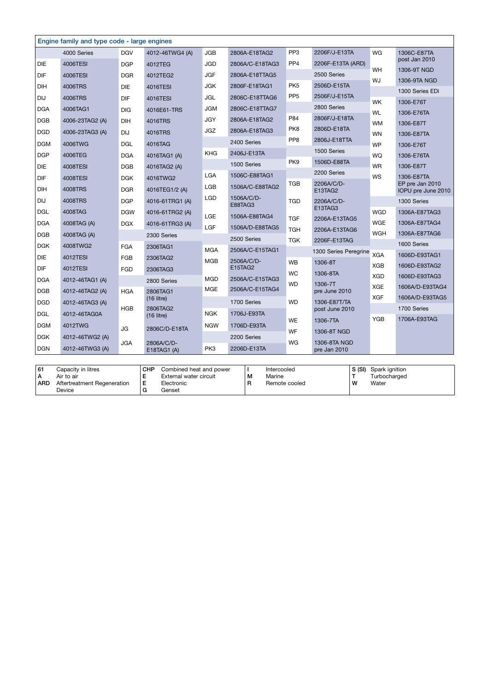|            | Engine family and type code - large engines |            |                           |            |                       |                        |                              |            |                                       |
|------------|---------------------------------------------|------------|---------------------------|------------|-----------------------|------------------------|------------------------------|------------|---------------------------------------|
|            | 4000 Series                                 | <b>DGV</b> | 4012-46TWG4 (A)           | <b>JGB</b> | 2806A-E18TAG2         | PP <sub>3</sub>        | 2206F/J-E13TA                | WG         | 1306C-E87TA                           |
| <b>DIE</b> | 4006TESI                                    | <b>DGP</b> | 4012TEG                   | <b>JGD</b> | 2806A/C-E18TAG3       | PP4                    | 2206F-E13TA (ARD)            | WH         | post Jan 2010<br>1306-9T NGD          |
| DIF        | 4006TESI                                    | <b>DGR</b> | 4012TEG2                  | <b>JGF</b> | 2806A-E18TTAG5        |                        | 2500 Series                  | WJ         | 1306-9TA NGD                          |
| <b>DIH</b> | 4006TRS                                     | DIE        | 4016TESI                  | <b>JGK</b> | 2806F-E18TAG1         | PK <sub>5</sub>        | 2506D-E15TA                  |            | 1300 Series EDi                       |
| <b>DIJ</b> | 4006TRS                                     | DIF        | 4016TESI                  | <b>JGL</b> | 2806C-E18TTAG6        | PP <sub>5</sub>        | 2506F/J-E15TA                | <b>WK</b>  | 1306-E76T                             |
| <b>DGA</b> | 4006TAG1                                    | <b>DIG</b> | 4016E61-TRS               | <b>JGM</b> | 2806C-E18TTAG7        |                        | 2800 Series                  | <b>WL</b>  | 1306-E76TA                            |
| <b>DGB</b> | 4006-23TAG2 (A)                             | DIH        | 4016TRS                   | <b>JGY</b> | 2806A-E18TAG2         | P84                    | 2806F/J-E18TA                | <b>WM</b>  | 1306-E87T                             |
| <b>DGD</b> | 4006-23TAG3 (A)                             | DIJ        | 4016TRS                   | <b>JGZ</b> | 2806A-E18TAG3         | PK8                    | 2806D-E18TA                  | <b>WN</b>  | 1306-E87TA                            |
| <b>DGM</b> | 4006TWG                                     | <b>DGL</b> | 4016TAG                   |            | 2400 Series           | PP8                    | 2806J-E18TTA                 | <b>WP</b>  | 1306-E76T                             |
| <b>DGP</b> | 4006TEG                                     | <b>DGA</b> | 4016TAG1 (A)              | <b>KHG</b> | 2406J-E13TA           |                        | 1500 Series                  | WQ         | 1306-E76TA                            |
| DIE        | 4008TESI                                    | <b>DGB</b> | 4016TAG2 (A)              |            | 1500 Series           | PK9                    | 1506D-E88TA                  | <b>WR</b>  | 1306-E87T                             |
| <b>DIF</b> | 4008TESI                                    | <b>DGK</b> | 4016TWG2                  | <b>LGA</b> | 1506C-E88TAG1         |                        | 2200 Series                  | WS         | 1306-E87TA                            |
| DIH        | 4008TRS                                     | <b>DGR</b> | 4016TEG1/2 (A)            | <b>LGB</b> | 1506A/C-E88TAG2       | TGB                    | 2206A/C/D-<br>E13TAG2        |            | EP pre Jan 2010<br>IOPU pre June 2010 |
| <b>DIJ</b> | 4008TRS                                     | <b>DGP</b> | 4016-61TRG1 (A)           | <b>LGD</b> | 1506A/C/D-<br>E88TAG3 | <b>TGD</b>             | 2206A/C/D-                   |            | 1300 Series                           |
| <b>DGL</b> | 4008TAG                                     | <b>DGW</b> | 4016-61TRG2 (A)           | LGE        | 1506A-E88TAG4         |                        | E13TAG3                      | <b>WGD</b> | 1306A-E87TAG3                         |
| <b>DGA</b> | 4008TAG (A)                                 | <b>DGX</b> | 4016-61TRG3 (A)           | LGF        | 1506A/D-E88TAG5       | <b>TGF</b>             | 2206A-E13TAG5                | <b>WGE</b> | 1306A-E87TAG4                         |
| <b>DGB</b> | 4008TAG (A)                                 |            | 2300 Series               |            | 2500 Series           | <b>TGH</b>             | 2206A-E13TAG6                | <b>WGH</b> | 1306A-E87TAG6                         |
| <b>DGK</b> | 4008TWG2                                    | <b>FGA</b> | 2306TAG1                  | <b>MGA</b> | 2506A/C-E15TAG1       | <b>TGK</b>             | 2206F-E13TAG                 |            | 1600 Series                           |
| <b>DIE</b> | 4012TESI                                    | FGB        | 2306TAG2                  | <b>MGB</b> | 2506A/C/D-            |                        | 1300 Series Peregrine        | XGA        | 1606D-E93TAG1                         |
| DIF        | <b>4012TESI</b>                             | <b>FGD</b> | 2306TAG3                  |            | E15TAG2               | <b>WB</b>              | 1306-8T                      | <b>XGB</b> | 1606D-E93TAG2                         |
| <b>DGA</b> | 4012-46TAG1 (A)                             |            | 2800 Series               | <b>MGD</b> | 2506A/C-E15TAG3       | <b>WC</b><br><b>WD</b> | 1306-8TA<br>1306-7T          | <b>XGD</b> | 1606D-E93TAG3                         |
| <b>DGB</b> | 4012-46TAG2 (A)                             | <b>HGA</b> | 2806TAG1                  | <b>MGE</b> | 2506A/C-E15TAG4       |                        | pre June 2010                | <b>XGE</b> | 1606A/D-E93TAG4                       |
| <b>DGD</b> | 4012-46TAG3 (A)                             |            | $(16$ litre)              |            | 1700 Series           | <b>WD</b>              | 1306-E87T/TA                 | <b>XGF</b> | 1606A/D-E93TAG5                       |
| <b>DGL</b> | 4012-46TAG0A                                | HGB        | 2806TAG2<br>$(16$ litre)  | <b>NGK</b> | 1706J-E93TA           |                        | post June 2010               |            | 1700 Series                           |
| <b>DGM</b> | 4012TWG                                     |            |                           | <b>NGW</b> | 1706D-E93TA           | <b>WE</b>              | 1306-7TA                     | <b>YGB</b> | 1706A-E93TAG                          |
| <b>DGK</b> | 4012-46TWG2 (A)                             | JG         | 2806C/D-E18TA             |            | 2200 Series           | WF                     | 1306-8T NGD                  |            |                                       |
| <b>DGN</b> | 4012-46TWG3 (A)                             | <b>JGA</b> | 2806A/C/D-<br>E18TAG1 (A) | PK3        | 2206D-E13TA           | WG                     | 1306-8TA NGD<br>pre Jan 2010 |            |                                       |

| 61         | Capacity in litres          | <b>CHP</b> | Combined heat and power |   | Intercooled   | S(SI) | Spark ignition |
|------------|-----------------------------|------------|-------------------------|---|---------------|-------|----------------|
| ΙA         | Air to air                  |            | External water circuit  | M | Marine        |       | Turbocharged   |
| <b>ARD</b> | Aftertreatment Regeneration | -          | Electronic              | R | Remote cooled |       | Water          |
|            | Device                      |            | Genset                  |   |               |       |                |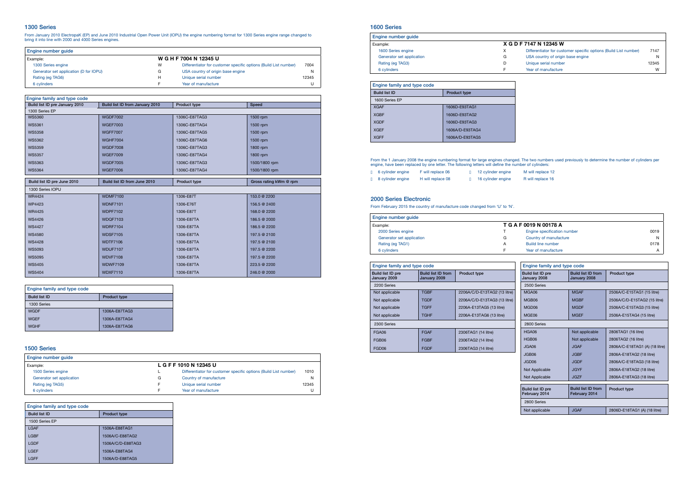# 1300 Series

From January 2010 ElectropaK (EP) and June 2010 Industrial Open Power Unit (IOPU) the engine numbering format for 1300 Series engine range changed to bring it into line with 2000 and 4000 Series engines.

| Engine number quide                    |   |                                                                  |       |
|----------------------------------------|---|------------------------------------------------------------------|-------|
| Example:                               |   | W G H F 7004 N 12345 U                                           |       |
| 1300 Series engine                     | W | Differentiator for customer specific options (Build List number) | 7004  |
| Generator set application (D for IOPU) | G | USA country of origin base engine                                | N     |
| Rating (eg TAG6)                       | H | Unique serial number                                             | 12345 |
| 6 cylinders                            | - | Year of manufacture                                              |       |

## 1600 Series

| Engine number quide       |   |                                                                  |       |
|---------------------------|---|------------------------------------------------------------------|-------|
| Example:                  |   | X G D F 7147 N 12345 W                                           |       |
| 1600 Series engine        | X | Differentiator for customer specific options (Build List number) | 7147  |
| Generator set application | G | USA country of origin base engine                                | N     |
| Rating (eg TAG3)          | D | Unique serial number                                             | 12345 |
| 6 cylinders               |   | Year of manufacture                                              | W     |

## 1500 Series

| Engine number quide       |   |                                                                  |       |
|---------------------------|---|------------------------------------------------------------------|-------|
| Example:                  |   | L G F F 1010 N 12345 U                                           |       |
| 1500 Series engine        |   | Differentiator for customer specific options (Build List number) | 1010  |
| Generator set application | G | Country of manufacture                                           | N     |
| Rating (eg TAG5)          |   | Unique serial number                                             | 12345 |
| 6 cylinders               |   | Year of manufacture                                              | U     |

From the 1 January 2008 the engine numbering format for large engines changed. The two numbers used previously to determine the number of cylinders per engine, have been replaced by one letter. The following letters will define the number of cylinders:

|  | n 6 cylinder engine        | F will replace 06 | 12 cylinder engine |  |
|--|----------------------------|-------------------|--------------------|--|
|  | <b>n</b> 8 cylinder engine | H will replace 08 | 16 cylinder engine |  |

## 2000 Series Electronic

From February 2015 the country of manufacture code changed from 'U' to 'N'.

| Engine number quide                |   |                             |      |  |  |
|------------------------------------|---|-----------------------------|------|--|--|
| T G A F 0019 N 00178 A<br>Example: |   |                             |      |  |  |
| 2000 Series engine                 |   | Engine specification number | 0019 |  |  |
| Generator set application          | G | Country of manufacture      | N    |  |  |
| Rating (eg TAG1)                   | A | Build line number           | 0178 |  |  |
| 6 cylinders                        |   | Year of manufacture         |      |  |  |

| Engine family and type code    |                                 |               |                        |  |  |  |  |
|--------------------------------|---------------------------------|---------------|------------------------|--|--|--|--|
| Build list ID pre January 2010 | Build list ID from January 2010 | Product type  | Speed                  |  |  |  |  |
| 1300 Series EP                 |                                 |               |                        |  |  |  |  |
| <b>WS5360</b>                  | <b>WGDF7002</b>                 | 1306C-E87TAG3 | 1500 rpm               |  |  |  |  |
| <b>WS5361</b>                  | <b>WGEF7003</b>                 | 1306C-E87TAG4 | 1500 rpm               |  |  |  |  |
| <b>WS5358</b>                  | <b>WGFF7007</b>                 | 1306C-E87TAG5 | 1500 rpm               |  |  |  |  |
| <b>WS5362</b>                  | <b>WGHF7004</b>                 | 1306C-E87TAG6 | 1500 rpm               |  |  |  |  |
| <b>WS5359</b>                  | <b>WGDF7008</b>                 | 1306C-E87TAG3 | 1800 rpm               |  |  |  |  |
| <b>WS5357</b>                  | <b>WGEF7009</b>                 | 1306C-E87TAG4 | 1800 rpm               |  |  |  |  |
| <b>WS5363</b>                  | <b>WGDF7005</b>                 | 1306C-E87TAG3 | 1500/1800 rpm          |  |  |  |  |
| <b>WS5364</b>                  | <b>WGEF7006</b>                 | 1306C-E87TAG4 | 1500/1800 rpm          |  |  |  |  |
| Build list ID pre June 2010    | Build list ID from June 2010    | Product type  | Gross rating kWm @ rpm |  |  |  |  |
|                                |                                 |               |                        |  |  |  |  |
| 1300 Series IOPU               |                                 |               |                        |  |  |  |  |
| <b>WR4424</b>                  | <b>WDMF7100</b>                 | 1306-E87T     | 153.0 @ 2200           |  |  |  |  |
| WP4423                         | <b>WDNF7101</b>                 | 1306-E76T     | 156.5 @ 2400           |  |  |  |  |
| <b>WR4425</b>                  | <b>WDPF7102</b>                 | 1306-E87T     | 168.0 @ 2200           |  |  |  |  |
| <b>WS4426</b>                  | <b>WDQF7103</b>                 | 1306-E87TA    | 186.5 @ 2000           |  |  |  |  |
| <b>WS4427</b>                  | <b>WDRF7104</b>                 | 1306-E87TA    | 186.5 @ 2200           |  |  |  |  |
| <b>WS4580</b>                  | <b>WDSF7105</b>                 | 1306-E87TA    | 197.5 @ 2100           |  |  |  |  |
| <b>WS4428</b>                  | <b>WDTF7106</b>                 | 1306-E87TA    | 197.5 @ 2100           |  |  |  |  |
| <b>WS5093</b>                  | <b>WDUF7107</b>                 | 1306-E87TA    | 197.5 @ 2200           |  |  |  |  |
| <b>WS5095</b>                  | <b>WDVF7108</b>                 | 1306-E87TA    | 197.5 @ 2200           |  |  |  |  |
| <b>WS5405</b>                  | <b>WDWF7109</b>                 | 1306-E87TA    | 223.5 @ 2200           |  |  |  |  |
| <b>WS5404</b>                  | <b>WDXF7110</b>                 | 1306-E87TA    | 246.0 @ 2000           |  |  |  |  |

| Engine family and type code |                     |  |
|-----------------------------|---------------------|--|
| <b>Build list ID</b>        | <b>Product type</b> |  |
| 1300 Series                 |                     |  |
| <b>WGDF</b>                 | 1306A-E87TAG3       |  |
| <b>WGEF</b>                 | 1306A-E87TAG4       |  |
| <b>WGHF</b>                 | 1306A-E87TAG6       |  |

| Engine family and type code |                     |  |  |
|-----------------------------|---------------------|--|--|
| <b>Build list ID</b>        | <b>Product type</b> |  |  |
| 1500 Series EP              |                     |  |  |
| LGAF                        | 1506A-E88TAG1       |  |  |
| LGBF                        | 1506A/C-E88TAG2     |  |  |
| LGDF                        | 1506A/C/D-E88TAG3   |  |  |
| LGEF                        | 1506A-E88TAG4       |  |  |
| LGFF                        | 1506A/D-E88TAG5     |  |  |

| Engine family and type code |                     |  |
|-----------------------------|---------------------|--|
| <b>Build list ID</b>        | <b>Product type</b> |  |
| 1600 Series EP              |                     |  |
| <b>XGAF</b>                 | 1606D-E93TAG1       |  |
| <b>XGBF</b>                 | 1606D-E93TAG2       |  |
| <b>XGDF</b>                 | 1606D-E93TAG3       |  |
| <b>XGEF</b>                 | 1606A/D-E93TAG4     |  |
| <b>XGFF</b>                 | 1606A/D-E93TAG5     |  |

| Engine family and type code       |                                           |                              | Engine family and type code |                                           |                                            |                                |  |
|-----------------------------------|-------------------------------------------|------------------------------|-----------------------------|-------------------------------------------|--------------------------------------------|--------------------------------|--|
| Build list ID pre<br>January 2009 | <b>Build list ID from</b><br>January 2009 | <b>Product type</b>          |                             | Build list ID pre<br>January 2008         | <b>Build list ID from</b><br>January 2008  | Product type                   |  |
| 2200 Series                       |                                           |                              |                             | 2500 Series                               |                                            |                                |  |
| Not applicable                    | <b>TGBF</b>                               | 2206A/C/D-E13TAG2 (13 litre) |                             | MGA06                                     | <b>MGAF</b>                                | 2506A/C-E15TAG1 (15 litre)     |  |
| Not applicable                    | <b>TGDF</b>                               | 2206A/C/D-E13TAG3 (13 litre) |                             | MGB06                                     | <b>MGBF</b>                                | 2506A/C/D-E15TAG2 (15 litre)   |  |
| Not applicable                    | <b>TGFF</b>                               | 2206A-E13TAG5 (13 litre)     |                             | MGD06                                     | <b>MGDF</b>                                | 2506A/C-E15TAG3 (15 litre)     |  |
| Not applicable                    | <b>TGHF</b>                               | 2206A-E13TAG6 (13 litre)     |                             | MGE06                                     | <b>MGEF</b>                                | 2506A-E15TAG4 (15 litre)       |  |
| 2300 Series                       |                                           |                              |                             | 2800 Series                               |                                            |                                |  |
| FGA06                             | <b>FGAF</b>                               | 2306TAG1 (14 litre)          |                             | <b>HGA06</b>                              | Not applicable                             | 2806TAG1 (16 litre)            |  |
| FGB06                             | <b>FGBF</b>                               | 2306TAG2 (14 litre)          |                             | HGB06                                     | Not applicable                             | 2806TAG2 (16 litre)            |  |
| FGD06                             | <b>FGDF</b>                               | 2306TAG3 (14 litre)          |                             | JGA06                                     | <b>JGAF</b>                                | 2806A/C-E18TAG1 (A) (18 litre) |  |
|                                   |                                           |                              |                             | JGB06                                     | <b>JGBF</b>                                | 2806A-E18TAG2 (18 litre)       |  |
|                                   |                                           |                              |                             | JGD06                                     | <b>JGDF</b>                                | 2806A/C-E18TAG3 (18 litre)     |  |
|                                   |                                           |                              |                             | Not Applicable                            | <b>JGYF</b>                                | 2806A-E18TAG2 (18 litre)       |  |
|                                   |                                           |                              |                             | Not Applicable                            | <b>JGZF</b>                                | 2806A-E18TAG3 (18 litre)       |  |
|                                   |                                           |                              |                             | <b>Build list ID pre</b><br>February 2014 | <b>Build list ID from</b><br>February 2014 | <b>Product type</b>            |  |
|                                   |                                           |                              | 2800 Series                 |                                           |                                            |                                |  |
|                                   |                                           |                              |                             | Not applicable                            | <b>JGAF</b>                                | 2806D-E18TAG1 (A) (18 litre)   |  |

- M will replace 12
- R will replace 16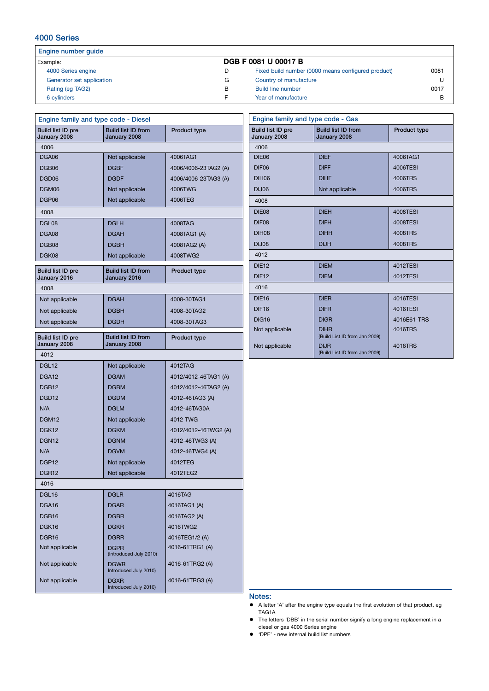#### Engine number guide Example: DGB F 0081 U 00017 B 4000 Series engine D Generator set application G<br>
Rating (eq TAG2) B Rating (eg TAG2) 6 cylinders F Fixed build number (0000 means configured product) 0081 Country of manufacture U Build line number 0017 Year of manufacture B

| Engine family and type code - Diesel     |                                           |                      |  |  |  |
|------------------------------------------|-------------------------------------------|----------------------|--|--|--|
| <b>Build list ID pre</b><br>January 2008 | <b>Build list ID from</b><br>January 2008 | <b>Product type</b>  |  |  |  |
| 4006                                     |                                           |                      |  |  |  |
| DGA06                                    | Not applicable                            | 4006TAG1             |  |  |  |
| DGB06                                    | <b>DGBF</b>                               | 4006/4006-23TAG2 (A) |  |  |  |
| DGD <sub>06</sub>                        | <b>DGDF</b>                               | 4006/4006-23TAG3 (A) |  |  |  |
| DGM06                                    | Not applicable                            | 4006TWG              |  |  |  |
| DGP06                                    | Not applicable                            | 4006TEG              |  |  |  |
| 4008                                     |                                           |                      |  |  |  |
| DGL08                                    | <b>DGLH</b>                               | 4008TAG              |  |  |  |
| DGA08                                    | <b>DGAH</b>                               | 4008TAG1 (A)         |  |  |  |
| DGB <sub>08</sub>                        | <b>DGBH</b>                               | 4008TAG2 (A)         |  |  |  |
| DGK08                                    | Not applicable                            | 4008TWG2             |  |  |  |
| Build list ID pre<br>January 2016        | <b>Build list ID from</b><br>January 2016 | <b>Product type</b>  |  |  |  |
| 4008                                     |                                           |                      |  |  |  |
| Not applicable                           | <b>DGAH</b>                               | 4008-30TAG1          |  |  |  |
| Not applicable                           | <b>DGBH</b>                               | 4008-30TAG2          |  |  |  |
| Not applicable                           | <b>DGDH</b>                               | 4008-30TAG3          |  |  |  |
| Build list ID pre<br>January 2008        | <b>Build list ID from</b><br>January 2008 | <b>Product type</b>  |  |  |  |
| 4012                                     |                                           |                      |  |  |  |
| DGL12                                    | Not applicable                            | 4012TAG              |  |  |  |
| DGA <sub>12</sub>                        | <b>DGAM</b>                               | 4012/4012-46TAG1 (A) |  |  |  |
| DGB <sub>12</sub>                        | <b>DGBM</b>                               | 4012/4012-46TAG2 (A) |  |  |  |
| DGD <sub>12</sub>                        | <b>DGDM</b>                               | 4012-46TAG3 (A)      |  |  |  |
| N/A                                      | <b>DGLM</b>                               | 4012-46TAG0A         |  |  |  |
| DGM <sub>12</sub>                        | Not applicable                            | 4012 TWG             |  |  |  |
| DGK <sub>12</sub>                        | <b>DGKM</b>                               | 4012/4012-46TWG2 (A) |  |  |  |
| DGN <sub>12</sub>                        | <b>DGNM</b>                               | 4012-46TWG3 (A)      |  |  |  |
| N/A                                      | <b>DGVM</b>                               | 4012-46TWG4 (A)      |  |  |  |
| DGP <sub>12</sub>                        | Not applicable                            | 4012TEG              |  |  |  |
| DGR <sub>12</sub>                        | Not applicable                            | 4012TEG2             |  |  |  |
| 4016                                     |                                           |                      |  |  |  |
| DGL16                                    | <b>DGLR</b>                               | 4016TAG              |  |  |  |
| DGA16                                    | <b>DGAR</b>                               | 4016TAG1 (A)         |  |  |  |
| DGB <sub>16</sub>                        | <b>DGBR</b>                               | 4016TAG2 (A)         |  |  |  |
| DGK16                                    | <b>DGKR</b>                               | 4016TWG2             |  |  |  |
| DGR <sub>16</sub>                        | <b>DGRR</b>                               | 4016TEG1/2 (A)       |  |  |  |
| Not applicable                           | <b>DGPR</b><br>(Introduced July 2010)     | 4016-61TRG1 (A)      |  |  |  |
| Not applicable                           | <b>DGWR</b><br>Introduced July 2010)      | 4016-61TRG2 (A)      |  |  |  |
| Not applicable                           | <b>DGXR</b><br>Introduced July 2010)      | 4016-61TRG3 (A)      |  |  |  |

4000 Series

| Engine family and type code - Gas |                                              |                 |  |  |  |
|-----------------------------------|----------------------------------------------|-----------------|--|--|--|
| Build list ID pre<br>January 2008 | <b>Build list ID from</b><br>January 2008    | Product type    |  |  |  |
| 4006                              |                                              |                 |  |  |  |
| DIE06                             | <b>DIFF</b>                                  | 4006TAG1        |  |  |  |
| DIF <sub>06</sub>                 | <b>DIFF</b>                                  | 4006TESI        |  |  |  |
| <b>DIH06</b>                      | <b>DIHF</b>                                  | 4006TRS         |  |  |  |
| <b>DIJ06</b>                      | Not applicable                               | 4006TRS         |  |  |  |
| 4008                              |                                              |                 |  |  |  |
| DIE08                             | <b>DIEH</b>                                  | 4008TESI        |  |  |  |
| DIF08                             | <b>DIFH</b>                                  | 4008TESI        |  |  |  |
| <b>DIH08</b>                      | <b>DIHH</b>                                  | 4008TRS         |  |  |  |
| <b>DIJ08</b>                      | <b>DIJH</b>                                  | 4008TRS         |  |  |  |
| 4012                              |                                              |                 |  |  |  |
| <b>DIE12</b>                      | <b>DIEM</b>                                  | <b>4012TESI</b> |  |  |  |
| DIF <sub>12</sub>                 | <b>DIFM</b>                                  | <b>4012TESI</b> |  |  |  |
| 4016                              |                                              |                 |  |  |  |
| <b>DIE16</b>                      | <b>DIER</b>                                  | 4016TESI        |  |  |  |
| <b>DIF16</b>                      | <b>DIFR</b>                                  | 4016TESI        |  |  |  |
| <b>DIG16</b>                      | <b>DIGR</b>                                  | 4016E61-TRS     |  |  |  |
| Not applicable                    | <b>DIHR</b><br>(Build List ID from Jan 2009) | 4016TRS         |  |  |  |
| Not applicable                    | <b>DIJR</b><br>(Build List ID from Jan 2009) | 4016TRS         |  |  |  |

### Notes:

- l A letter 'A' after the engine type equals the first evolution of that product, eg TAG1A
- The letters 'DBB' in the serial number signify a long engine replacement in a diesel or gas 4000 Series engine
- 'DPE' new internal build list numbers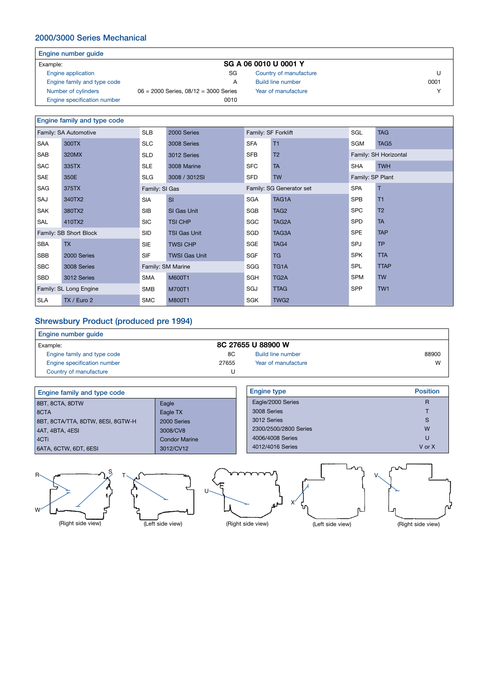# 2000/3000 Series Mechanical

| Engine number guide |                       |
|---------------------|-----------------------|
| Example:            | SG A 06 0010 U 0001 Y |

- Engine application SG
- 
- Engine family and type code<br>Number of cylinders 06 = 2000 Series, 08/12 = 3000 Series
- Engine specification number 0010

### Engine family and type code

|            | $\equiv$ ngino namin'y ania typo oodo |                   |                      |                     |                          |                  |                       |
|------------|---------------------------------------|-------------------|----------------------|---------------------|--------------------------|------------------|-----------------------|
|            | Family: SA Automotive                 | <b>SLB</b>        | 2000 Series          | Family: SF Forklift |                          | SGL              | <b>TAG</b>            |
| SAA        | 300TX                                 | <b>SLC</b>        | 3008 Series          | <b>SFA</b>          | T1                       | <b>SGM</b>       | TAG5                  |
| SAB        | 320MX                                 | <b>SLD</b>        | 3012 Series          | <b>SFB</b>          | T <sub>2</sub>           |                  | Family: SH Horizontal |
| <b>SAC</b> | 335TX                                 | <b>SLE</b>        | 3008 Marine          | <b>SFC</b>          | <b>TA</b>                | <b>SHA</b>       | <b>TWH</b>            |
| SAE        | 350E                                  | <b>SLG</b>        | 3008 / 3012SI        | SFD                 | <b>TW</b>                | Family: SP Plant |                       |
| SAG        | 375TX                                 | Family: SI Gas    |                      |                     | Family: SG Generator set | <b>SPA</b>       | т                     |
| SAJ        | 340TX2                                | <b>SIA</b>        | SI                   | SGA                 | TAG1A                    | <b>SPB</b>       | T <sub>1</sub>        |
| <b>SAK</b> | 380TX2                                | <b>SIB</b>        | SI Gas Unit          | SGB                 | TAG <sub>2</sub>         | <b>SPC</b>       | T <sub>2</sub>        |
| SAL        | 410TX2                                | <b>SIC</b>        | TSI CHP              | SGC                 | TAG2A                    | SPD              | <b>TA</b>             |
|            | Family: SB Short Block                | <b>SID</b>        | <b>TSI Gas Unit</b>  | SGD                 | TAG3A                    | <b>SPE</b>       | <b>TAP</b>            |
| <b>SBA</b> | <b>TX</b>                             | <b>SIE</b>        | <b>TWSI CHP</b>      | SGE                 | TAG4                     | SPJ              | <b>TP</b>             |
| <b>SBB</b> | 2000 Series                           | <b>SIF</b>        | <b>TWSI Gas Unit</b> | <b>SGF</b>          | <b>TG</b>                | <b>SPK</b>       | <b>TTA</b>            |
| <b>SBC</b> | 3008 Series                           | Family: SM Marine |                      | SGG                 | TG1A                     | <b>SPL</b>       | <b>TTAP</b>           |
| SBD        | 3012 Series                           | <b>SMA</b>        | M600T1               | SGH                 | TG <sub>2</sub> A        | <b>SPM</b>       | <b>TW</b>             |
|            | Family: SL Long Engine                | <b>SMB</b>        | M700T1               | SGJ                 | <b>TTAG</b>              | SPP              | TW1                   |
| <b>SLA</b> | TX / Euro 2                           | <b>SMC</b>        | M800T1               | SGK                 | TWG <sub>2</sub>         |                  |                       |

 $06 = 2000$  Series,  $08/12 = 3000$  Series

# Shrewsbury Product (produced pre 1994)

| Engine number quide         |       |                     |       |
|-----------------------------|-------|---------------------|-------|
| Example:                    |       | 8C 27655 U 88900 W  |       |
| Engine family and type code | 8C    | Build line number   | 88900 |
| Engine specification number | 27655 | Year of manufacture | W     |
| Country of manufacture      |       |                     |       |

| Engine family and type code       |                      | <b>Engine type</b>    | <b>Position</b> |
|-----------------------------------|----------------------|-----------------------|-----------------|
| 8BT, 8CTA, 8DTW                   | Eagle                | Eagle/2000 Series     |                 |
| 8CTA                              | Eagle TX             | 3008 Series           |                 |
| 8BT, 8CTA/TTA, 8DTW, 8ESI, 8GTW-H | 2000 Series          | 3012 Series           |                 |
| $ $ 4AT, 4BTA, 4ESI               | 3008/CV8             | 2300/2500/2800 Series | W               |
| 4CTi                              | <b>Condor Marine</b> | 4006/4008 Series      | U               |
| 6ATA, 6CTW, 6DT, 6ESI             | 3012/CV12            | 4012/4016 Series      | V or X          |
|                                   |                      |                       |                 |



Country of manufacture U Build line number 0001

Year of manufacture Y